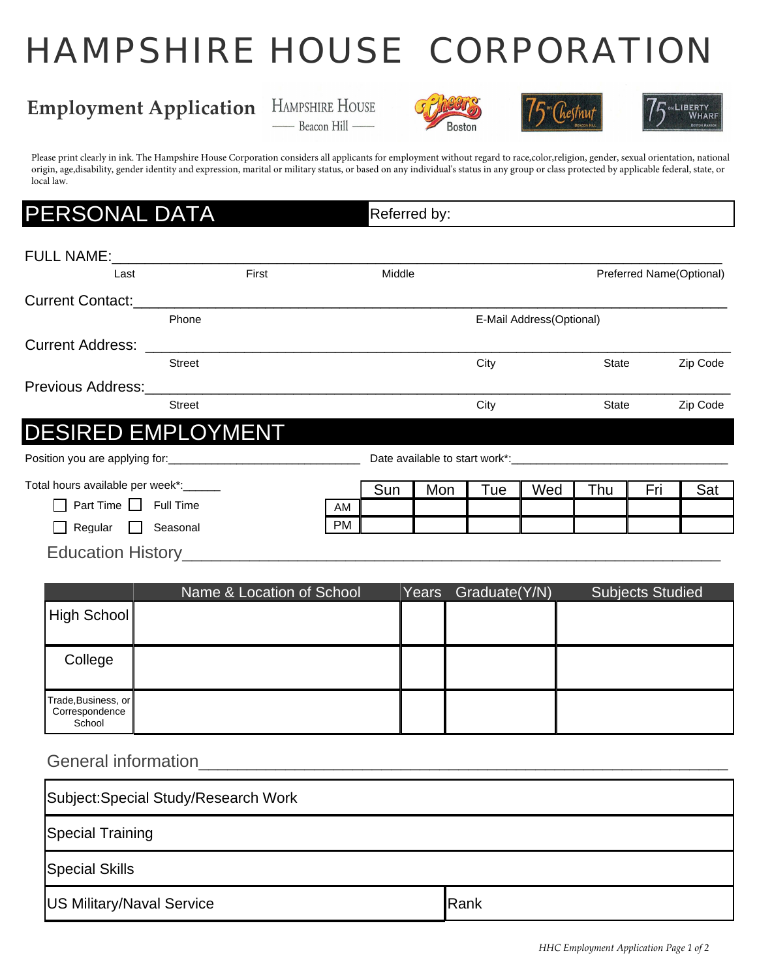# HAMPSHIRE HOUSE CORPORATION

## **Employment Application** HAMPSHIRE HOUSE









Please print clearly in ink. The Hampshire House Corporation considers all applicants for employment without regard to race,color,religion, gender, sexual orientation, national origin, age,disability, gender identity and expression, marital or military status, or based on any individual's status in any group or class protected by applicable federal, state, or local law.

### **ERSONAL DATA** Referred by:

| Last                     | First         | Middle |      |                          | Preferred Name(Optional) |  |
|--------------------------|---------------|--------|------|--------------------------|--------------------------|--|
| <b>Current Contact:</b>  |               |        |      |                          |                          |  |
|                          | Phone         |        |      | E-Mail Address(Optional) |                          |  |
| <b>Current Address:</b>  |               |        |      |                          |                          |  |
|                          | <b>Street</b> |        | City | <b>State</b>             | Zip Code                 |  |
| <b>Previous Address:</b> |               |        |      |                          |                          |  |
|                          | <b>Street</b> |        | City | <b>State</b>             | Zip Code                 |  |

Position you are applying for:\_\_\_\_\_\_\_\_\_\_\_\_\_\_\_\_\_\_\_\_\_\_\_\_\_\_\_\_\_\_\_ Date available to start work\*:\_\_\_\_\_\_\_\_\_\_\_\_\_\_\_\_\_\_\_\_\_\_\_\_\_\_\_\_\_\_\_\_\_\_\_

| Total hours available per week*:       |           | Sun | Mon | –<br>'ue | Wed | Thu | Eri | Sat |
|----------------------------------------|-----------|-----|-----|----------|-----|-----|-----|-----|
| Time<br>Full Time<br>Part <sup>-</sup> | AM        |     |     |          |     |     |     |     |
| Regular<br>Seasonal                    | <b>PM</b> |     |     |          |     |     |     |     |

Education History\_\_\_\_\_\_\_\_\_\_\_\_\_\_\_\_\_\_\_\_\_\_\_\_\_\_\_\_\_\_\_\_\_\_\_\_\_\_\_\_\_\_\_\_\_\_\_\_\_\_\_\_\_\_\_\_

|                                                 | Name & Location of School | Years | Graduate(Y/N) | Subjects Studied |
|-------------------------------------------------|---------------------------|-------|---------------|------------------|
| High School                                     |                           |       |               |                  |
| College                                         |                           |       |               |                  |
| Trade, Business, or<br>Correspondence<br>School |                           |       |               |                  |

#### General information extending the state of the state of the state of the state of the state of the state of the state of the state of the state of the state of the state of the state of the state of the state of the state

| Subject: Special Study/Research Work |      |  |  |  |  |
|--------------------------------------|------|--|--|--|--|
| Special Training                     |      |  |  |  |  |
| Special Skills                       |      |  |  |  |  |
| <b>US Military/Naval Service</b>     | Rank |  |  |  |  |